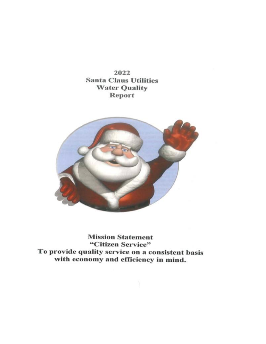2022 **Santa Claus Utilities Water Quality** Report



**Mission Statement** "Citizen Service" To provide quality service on a consistent basis with economy and efficiency in mind.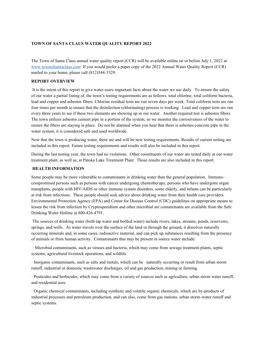# **TOWN OF SANTA CLAUS WATER QUALITY REPORT 2022**

The Town of Santa Claus annual water quality report (CCR) will be available online on or before July 1, 2022 at [www.townofsantaclaus.com.](http://www.townofsantaclaus.com/) If you would prefer a paper copy of the 2022 Annual Water Quality Report (CCR) mailed to your home, please call (812)544-3329.

## **REPORT OVERVIEW**

It is the intent of this report to give water users important facts about the water we use daily. To ensure the safety of our water a partial listing of, the town's testing requirements are as follows: total chlorine, total coliform bacteria, lead and copper and asbestos fibers. Chlorine residual tests are run seven days per week. Total coliform tests are run four times per month to ensure that the disinfection (chlorinating) process is working. Lead and copper tests are run every three years to see if these two elements are showing up in our water. Another required test is asbestos fibers. The town utilizes asbestos cement pipe in a portion of the system, so we monitor the corrosiveness of the water to ensure the fibers are staying in place. Do not be alarmed when you hear that there is asbestos concrete pipe in the water system, it is considered safe and used worldwide.

Now that the town is producing water, there are and will be new testing requirements. Results of current testing are included in this report. Future testing requirements and results will also be included in this report.

During the last testing year, the town had no violations. Other constituents of our water are tested daily at our water treatment plant, as well as; at Patoka Lake Treatment Plant. Those results are also included in this report.

## **HEALTH INFORMATION**

Some people may be more vulnerable to contaminants in drinking water than the general population. Immunocompromised persons such as persons with cancer undergoing chemotherapy, persons who have undergone organ transplants, people with HIV/AIDS or other immune system disorders, some elderly, and infants can be particularly at risk from infections. These people should seek advice about drinking water from their health care providers. Environmental Protection Agency (EPA) and Center for Disease Control (CDC) guidelines on appropriate means to lessen the risk from infection by Cryptosporidium and other microbial are contaminants are available from the Safe Drinking Water Hotline at 800-426-4791.

The sources of drinking water (both tap water and bottled water) include rivers, lakes, streams, ponds, reservoirs, springs, and wells. As water travels over the surface of the land or through the ground, it dissolves naturally occurring minerals and, in some cases, radioactive material, and can pick up substances resulting from the presence of animals or from human activity. Contaminants that may be present in source water include:

· Microbial contaminants, such as viruses and bacteria, which may come from sewage treatment plants, septic systems, agricultural livestock operations, and wildlife.

· Inorganic contaminants, such as salts and metals, which can be naturally occurring or result from urban storm runoff, industrial or domestic wastewater discharges, oil and gas production, mining or farming.

· Pesticides and herbicides, which may come from a variety of sources such as agriculture, urban storm water runoff, and residential uses.

· Organic chemical contaminants, including synthetic and volatile organic chemicals, which are by-products of industrial processes and petroleum production, and can also, come from gas stations, urban storm-water runoff and septic systems.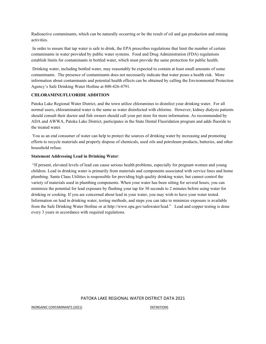Radioactive contaminants, which can be naturally occurring or be the result of oil and gas production and mining activities.

In order to ensure that tap water is safe to drink, the EPA prescribes regulations that limit the number of certain contaminants in water provided by public water systems. Food and Drug Administration (FDA) regulations establish limits for contaminants in bottled water, which must provide the same protection for public health.

Drinking water, including bottled water, may reasonably be expected to contain at least small amounts of some contaminants. The presence of contaminants does not necessarily indicate that water poses a health risk. More information about contaminants and potential health effects can be obtained by calling the Environmental Protection Agency's Safe Drinking Water Hotline at 800-426-4791.

# **CHLORAMINE/FLUORIDE ADDITION**

Patoka Lake Regional Water District, and the town utilize chloramines to disinfect your drinking water. For all normal users, chloraminated water is the same as water disinfected with chlorine. However, kidney dialysis patients should consult their doctor and fish owners should call your pet store for more information. As recommended by ADA and AWWA, Patoka Lake District, participates in the State Dental Fluoridation program and adds fluoride to the treated water.

You as an end consumer of water can help to protect the sources of drinking water by increasing and promoting efforts to recycle materials and properly dispose of chemicals, used oils and petroleum products, batteries, and other household refuse.

## **Statement Addressing Lead in Drinking Water**:

"If present, elevated levels of lead can cause serious health problems, especially for pregnant women and young children. Lead in drinking water is primarily from materials and components associated with service lines and home plumbing. Santa Claus Utilities is responsible for providing high quality drinking water, but cannot control the variety of materials used in plumbing components. When your water has been sitting for several hours, you can minimize the potential for lead exposure by flushing your tap for 30 seconds to 2 minutes before using water for drinking or cooking. If you are concerned about lead in your water, you may wish to have your water tested. Information on lead in drinking water, testing methods, and steps you can take to minimize exposure is available from the Safe Drinking Water Hotline or at http://www.epa.gov/safewater/lead." Lead and copper testing is done every 3 years in accordance with required regulations.

# PATOKA LAKE REGIONAL WATER DISTRICT DATA 2021

INORGANIC CONTAMINANTS (2021) **DEFINITIONS**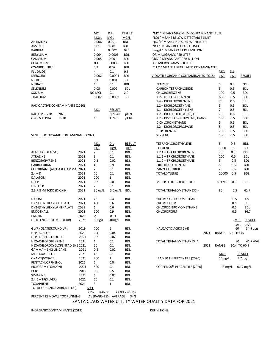### DICHLOROMETHANE 5 0.5 BDL 1.2 – DICHLOROPROPANE 5 0.5 BDL ETHYLBENZENE SYNTHETIC ORGANIC CONTAMINANTS (2021) STYRENE STYRENE STYRENE 100 0.5 BDL MCL D.L RESULT TETRACHLOROETHYLENE 5 0.5 BDL u<u>g/L ug/L</u> u<u>g/L</u> 1000 0.5 BDL ug/L 1000 0.5 BDL ALACHLOR (LASSO) 2021 2 0.1 BDL 1.2.4 – TRICHLOROBENZENE 70 0.5 BDL ATRAZINE 2021 3 0.1 BDL 1.1.1 – TRICHLOROETHANE 200 0.5 BDL BENZO(A)PYRENE 2021 0.2 0.02 BDL 1.1.2 – TRICHLOROETHANE 5 0.5 BDL CARBOFURAN 2021 40 0.9 BDL TRICHLOROETHYLENE 5 0.5 BDL CHLORDANE (ALPHA & GAMMA) 2021 2 0.1 BDL VINYL CHLORIDE 2 0.5 BDL 2.4 – D 2021 70 0.1 BDL TOTAL XYLENES 10000 0.5 BDL DALAPON 2021 200 1 BDL DBCP 2021 0.2 0.01 BDL METHY-TERT-BUTYL ETHER NO MCL 0.5 BDL DINOSEB 2021 7 0.1 BDL 2.3.7.8 -M TCDD (DIOXIN) 2021 30 ug/L 5.0 ug/L BDL TOTAL TRIHALOMETHANES(4) 80 0.5 41.7 DIQUAT 2021 20 0.4 BDL BROMODICHLOROMETHANE 0.5 4.9 DI(2-ETHYLHEXYL) ADIPATE 2021 400 0.6 BDL BROMOFORM 0.5 BDL DI(2-ETHYLHEXYL)PHTHALATE 2021 6 0.6 BDL CHLORODIBROMOMETHANE 0.5 BDL ENDOTHALL 2021 100 0.9 BDL CHLOROFORM 0.5 36.7 ENDRIN 2021 2 0.01 **BDL**  ETHYLENE DIBROMIDE(EDB) 2021 50ug/L 10ug/L BDL MCL RESULT GLYPHOSATE(ROUND UP) 2019 700 6 BDL HALOACTIC ACIDS 5 (4) 60 34.9 avg HEPTACHLOR 2021 0.4 0.04 BDL 2021 RANGE 25 TO 45 HEPTACHLOR EPOXIDE 2021 0.2 0.02 BDL<br>HEXACHLOROBENZENE 2021 1 0.1 BDL HEXACHLOROBENZENE 2021 1 0.1 BDL TOTAL TRIHALOMETHANES (4) 80 41.7 AVG HEXACHLOROCYCLOPENTADIENE 2021 50 0.1 BDL 2021 RANGE 20.4 TO 60.9 GAMMA – BHG LINDANE 2021 0.2 0.02 BDL METHOXYCHLOR 2021 40 0.1 BDL MCL RESULT OXAMY(VYDATE) 2021 200 1 BDL LEAD 90 TH PERCENTILE (2020) 15 ug/L 3.7 ug/L PENTACHLORPHENOL 2021 1 0.04 BDL PICLORAM (TORDON) 2021 500 0.1 BDL COPPER 90<sup>TH</sup> PERCENTILE (2020) 1.3 mg/L 0.17 mg/L<br>PCBS 2019 0.5 0.5 BDL PCBS 2019 0.5 0.5 BDL SIMAZINE 2021 4 0.07 BDL 2.4.5 – TP(SILVER) 2021 50 0.1 BDL<br>ТОХАРНЕМЕ 2021 3 1 RDI TOXAPHENE 2021 3 1 TOTAL ORGANIC CARBON (TOC) MCL

25% RANGE 27.9% - 40.5%

SANTA CLAUS WATER UTILITY WATER QUALITY DATA FOR 2021

ANTIMONY 0.006 0.001 BDL "pCI/L" MEANS PICOCURIES PER LITER ARSENIC 0.01 0.001 BDL "D.L." MEANS DETECTABLE LIMIT BARIUM 2 0 .002 .026 "mg/L" MEANS PART PER MILLION BERYLLIUM 0.004 0.0003 BDL OR MILLIGRAMS PER LITER CADMIUM 0.005 0.001 BDL "UG/L" MEANS PART PER BILLION CHROMIUM 0.1 0.0009 BDL OR MICROGRAMS PER LITER

NICKEL 0.1 0.001 BDL

CYANIDE, (FREE) 0.2 0.02 BDL "U.C." MEANS UREGULATED CONTAMINATES

RADIOACTIVE CONTAMINANTS (2020) 6 1.2 - DICHLOROETHANE 5

FLUORIDE 4 0.1 0.6 MCL D.L. MERCURY 0.002 0.0001 BDL VIOLATILE ORGANIC CONTAMINANTS (2018) ug/L ug/L RESULT

NITRATE 10 0.1 BDL BENZENE 5 0.5 BDL SELENIUM 0.05 0.002 BDL CARBON TETRACHLORIDE 5 0.5 BDL SODIUM NO MCL 0.1 2.9 CHLOROBENZENE 100 0.5 BDL THALLIUM 0.002 0.0003 BDL 1.2- DICHLOROBENZENE 600 0.5 BDL

RADIUM – 228 2020 .17+.41 pCI/L 1.2 – DICLOROETHYLENE, CIS 70 0.5 BDL GROSS ALPHA 2020 15 1.7+.9 pCI/L 1.2 – DISCHLOROETHYLENE, TRANS 100 0.5 BDL

INORGANIC CONTAMINANTS (2019) DEFINITIONS

PERCENT REMOVAL TOC RUNNING AVERAGE<25% AVERAGE 34%

MCL D.L. RESULT "MCL" MEANS MAXIMUM CONTAMINANT LEVEL MG/L MGL MG/L "BDL" MEANS BELOW DETECTABLE LIMIT

MCL RESULT 1.1 – DICHLOROETHYLENE 7 0.5 BDL

1.4 – DICHLOROBENZENE 75 0.5 BDL

ug/L ug/L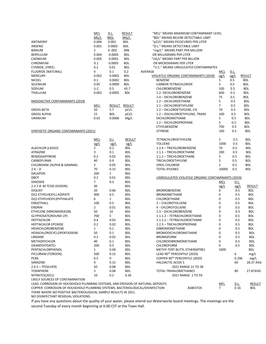|                                                                                 | <b>MCL</b>     | <u>D.L.</u>  | <b>RESULT</b> | "MCL" MEANS MAXIMUM CONTAMINANT LEVEL             |                        |             |                          |
|---------------------------------------------------------------------------------|----------------|--------------|---------------|---------------------------------------------------|------------------------|-------------|--------------------------|
|                                                                                 | MG/L           | MGL          | MG/L          | "BDL" MEANS BELOW DETECTABLE LIMIT                |                        |             |                          |
| <b>ANTIMONY</b>                                                                 | 0.006          | 0.001        | <b>BDL</b>    | "pCI/L" MEANS PICOCURIES PER LITER                |                        |             |                          |
| ARSENIC                                                                         | 0.001          | 0.0002       | <b>BDL</b>    | "D.L." MEANS DETECTABLE LIMIT                     |                        |             |                          |
| <b>BARIUM</b>                                                                   | 2              | 0.002        | .096          | "mg/L" MEANS PART PER MILLION                     |                        |             |                          |
| BERYLLIUM                                                                       | 0.004          | 0.0005       | <b>BDL</b>    | OR MILLIGRAMS PER LITER                           |                        |             |                          |
| CADMIUM                                                                         | 0.005          | 0.0001       | <b>BDL</b>    | "UG/L" MEANS PART PER BILLION                     |                        |             |                          |
| CHROMIUM                                                                        | 0.1            | 0.0003       | <b>BDL</b>    | OR MICROGRAMS PER LITER                           |                        |             |                          |
| CYANIDE, (FREE)                                                                 | 0.2            | 0.01         | <b>BDL</b>    | "U.C." MEANS UREGULATED CONTAMINATES              |                        |             |                          |
| <b>FLUORIDE (NATURAL)</b>                                                       | 4              | 0.1          | 0.2           | AVERAGE                                           | MCL                    | <u>D.L.</u> |                          |
| <b>MERCURY</b>                                                                  | 0.002          | 0.0002       | <b>BDL</b>    | VIOLATILE ORGANIC CONTAMINANTS (2018)             | ug/L                   | ug/L        | <b>RESULT</b>            |
| <b>NICKEL</b>                                                                   | 0.1            | 0.0002       | <b>BDL</b>    | <b>BENZENE</b>                                    | 5                      | 0.5         | BDL                      |
| SELENIUM                                                                        | 0.05           | 0.0009       | <b>BDL</b>    | <b>CARBON TETRACHLORIDE</b>                       | 5                      | 0.5         | BDL                      |
| SODIUM                                                                          | U.C.           | 0.5          | 43.7          | CHLOROBENZENE                                     | 100                    | 0.5         | <b>BDL</b>               |
| THALLIUM                                                                        | 0.002          | 0.0005       | <b>BDL</b>    | 1.2- DICHLOROBENZENE                              | 600                    | 0.5         | BDL                      |
|                                                                                 |                |              |               | 1.4 - DICHLOROBENZENE                             | 75                     | 0.5         | <b>BDL</b>               |
| RADIOACTIVE CONTAMINANTS (2019)                                                 |                |              |               | 1.2 - DICHLOROETHANE                              | 5                      | 0.5         | <b>BDL</b>               |
|                                                                                 | <b>MCL</b>     |              | RESULT RESULT | 1.1 - DICHLOROETHYLENE                            | $\overline{7}$         | 0.5         | <b>BDL</b>               |
| <b>GROSS BETA</b>                                                               | 50             | 5.7          | pCi/L         | 1.2 - DICLOROETHYLENE, CIS                        | 70                     | 0.5         | <b>BDL</b>               |
| <b>GROSS ALPHA</b>                                                              | 15             | <b>BDL</b>   | pCI/L         | 1.2 - DISCHLOROETHYLENE, TRANS                    | 100                    | 0.5         | <b>BDL</b>               |
|                                                                                 | 0.03           | 0.0006       |               |                                                   | 5                      | 0.5         |                          |
| URANIUM                                                                         |                |              | Mg/L          | DICHLOROMETHANE                                   |                        |             | BDL                      |
|                                                                                 |                |              |               | 1.2 - DICHLOROPROPANE                             | 5                      | 0.5         | <b>BDL</b>               |
|                                                                                 |                |              |               | ETHYLBENZENE                                      | 700                    | 0.5         | BDL                      |
| SYNTHETIC ORGANIC CONTAMINANTS (2021)                                           |                |              |               | <b>STYRENE</b>                                    | 100                    | 0.5         | <b>BDL</b>               |
|                                                                                 |                |              |               |                                                   |                        |             |                          |
|                                                                                 | MCL            | <u>D.L</u>   | <b>RESULT</b> | <b>TETRACHLOROETHYLENE</b>                        | 5                      | 0.5         | <b>BDL</b>               |
|                                                                                 | ug/L           | ug/L         | ug/L          | <b>TOLUENE</b>                                    | 1000                   | 0.5         | <b>BDL</b>               |
| ALACHLOR (LASSO)                                                                | $\overline{2}$ | 0.2          | <b>BDL</b>    | 1.2.4 - TRICHLOROBENZENE                          | 70                     | 0.5         | <b>BDL</b>               |
| ATRAZINE                                                                        | 3              | 0.1          | <b>BDL</b>    | 1.1.1 - TRICHLOROETHANE                           | 200                    | 0.5         | <b>BDL</b>               |
| BENZO(A)PYRENE                                                                  | 0.2            | 0.02         | <b>BDL</b>    | 1.1.2 - TRICHLOROETHANE                           | 5                      | 0.5         | <b>BDL</b>               |
| CARBOFURAN                                                                      | 40             | 0.9          | <b>BDL</b>    | <b>TRICHLOROETHYLENE</b>                          | 5                      | 0.5         | <b>BDL</b>               |
| CHLORDANE (ALPHA & GAMMA)                                                       | $\overline{2}$ | 0.05         | <b>BDL</b>    | <b>VINYL CHLORIDE</b>                             | $\overline{2}$         | 0.5         | <b>BDL</b>               |
| $2.4 - D$                                                                       | 70             | 0.15         | <b>BDL</b>    | <b>TOTAL XYLENES</b>                              | 10000                  | 0.5         | <b>BDL</b>               |
| <b>DALAPON</b>                                                                  | 200            | $\mathbf{1}$ | <b>BDL</b>    |                                                   |                        |             |                          |
| <b>DBCP</b>                                                                     | 0.2            | 0.01         | <b>BDL</b>    | UNREGULATED VIOLATILE ORGANIC CONTAMINANTS (2019) |                        |             |                          |
| <b>DINOSEB</b>                                                                  | 7              | 0.3          | <b>BDL</b>    |                                                   | MCL                    | <u>D.L.</u> |                          |
| 2.3.7.8 - M TCDD (DIOXIN)                                                       | 30             |              | <b>BDL</b>    |                                                   | $\frac{u}{2}$          | ug/L        | <b>RESULT</b>            |
| <b>DIQUAT</b>                                                                   | 20             | 0.66         | <b>BDL</b>    | <b>BROMOBENZENE</b>                               | 0                      | 0.5         | <b>BDL</b>               |
| DI(2-ETHYLHEXYL) ADIPATE                                                        | 400            | 0.5          | <b>BDL</b>    | <b>BROMOMETHANE</b>                               | 0                      | 0.5         | <b>BDL</b>               |
| DI(2-ETHYLHEXYL)PHTHALATE                                                       | 6              | $\mathbf{1}$ | <b>BDL</b>    | CHLOROETHANE                                      | 0                      | 0.5         | <b>BDL</b>               |
| <b>ENDOTHALL</b>                                                                | 100            | 0.5          | <b>BDL</b>    | 2 - CHLOROTOLUENE                                 | 0                      | 0.5         | <b>BDL</b>               |
| <b>ENDRIN</b>                                                                   | $\overline{2}$ | 0.01         | <b>BDL</b>    | 4 - CHLOROTOLUENE                                 | 0                      | 0.5         | <b>BDL</b>               |
| ETHYLENE DIBROMIDE(EDB)                                                         | 50             | 10           | <b>BDL</b>    | 1.3 - DICHLOROBENZENE                             | 0                      | 0.5         | <b>BDL</b>               |
| GLYPHOSATE(ROUND UP)                                                            | 700            | 5            | <b>BDL</b>    | 1.1.1.2 - TETRACHLOROETHANE                       | 0                      | 0.5         | <b>BDL</b>               |
| <b>HEPTACHLOR</b>                                                               | 0.4            | 0.02         | <b>BDL</b>    | 1.1.2.2 - TETRACHLOROETHANE                       | 0                      | 0.5         | <b>BDL</b>               |
| <b>HEPTACHLOR EPOXIDE</b>                                                       | 0.2            | 0.02         | <b>BDL</b>    | 1.2.3 - TRICHLOROPROPANE                          | $\Omega$               | 0.5         | <b>BDL</b>               |
| HEXACHLOROBENZENE                                                               | $\mathbf{1}$   | 0.1          | <b>BDL</b>    | DIBROMOMETHANE                                    | 0                      | 0.5         | <b>BDL</b>               |
| HEXACHLOROCYCLOPENTADIENE                                                       | 50             | 0.1          | <b>BDL</b>    | <b>BROMODICHLOROMETHANE</b>                       | 0                      | 0.5         | <b>BDL</b>               |
| LINDANE                                                                         | 0.2            | 0.02         | <b>BDL</b>    | <b>BROMOFORM</b>                                  | 0                      | 0.5         | <b>BDL</b>               |
| <b>METHOXYCHLOR</b>                                                             |                |              |               |                                                   | 0                      |             |                          |
|                                                                                 | 40<br>200      | 0.1          | <b>BDL</b>    | CHLORODIBROMOMETHANE<br>CHLOROFORM                | 0                      | 0.5<br>0.5  | <b>BDL</b><br><b>BDL</b> |
| OXAMY(VYDATE)                                                                   |                | 0.5          | <b>BDL</b>    |                                                   |                        |             |                          |
| PENTACHLORPHENOL                                                                | $\mathbf{1}$   | 0.04         | <b>BDL</b>    | METHY-TERT-BUTYL ETHER(MTBE)                      | 5000                   |             | BDL                      |
| PICLORAM (TORDON)                                                               | 500            | 0.15         | <b>BDL</b>    | LEAD 90TH PERCENTILE (2020)                       |                        | 6           | mg/L                     |
| <b>PCBS</b>                                                                     | 0.5            | 0            | <b>BDL</b>    | COPPER 90TH PERCENTILE (2020)                     |                        | 0.296       | mg/L                     |
| SIMAZINE                                                                        | 4              | 0.15         | <b>BDL</b>    | <b>HALOACTIC ACIDS 5</b>                          |                        | 60          | 28.37 AVG                |
| $2.4.5 - TP(SILVER)$                                                            | 50             | 0.08         | <b>BDL</b>    | 2021 RANGE 21 TO 38                               |                        |             |                          |
| <b>TOXAPHENE</b>                                                                | 3              | 0.08         | <b>BDL</b>    | TOTAL TRIHALOMETHANES                             |                        | 80          | 27.87AVG                 |
| NITRATES(2021)                                                                  | 10             | 0.2          | 0.36          | 2021 RANGE 1 TO 59                                |                        |             |                          |
| LIKELY SOURCES OF CONTAMINATION                                                 |                |              |               |                                                   |                        |             |                          |
| LEAD: CORROSION OF HOUSEHOLD PLUMBING SYSTEMS, AND EROSION OF NATURAL DEPOSITS. |                |              |               |                                                   | $\frac{\text{MFL}}{7}$ | <u>D.L.</u> | <b>RESULT</b>            |
| COPPER: CORROSION OF HOUSEHOLD PLUMBING SYSTEMS. BACTERIOLOGICAL/DISINFECTION   |                |              |               | <b>ASBESTOS</b>                                   |                        | 0.16        | <b>BDL</b>               |

THERE WHERE NO POSITIVE BACTERIOLOGICAL SAMPLE RESULTS IN 2021.

NO DISINFECTANT RESIDUAL VIOLATIONS.

If you have any questions about the quality of your water, please attend our Waterworks board meetings. The meetings are the second Tuesday of every month beginning at 6:00 CST at the Town Hall.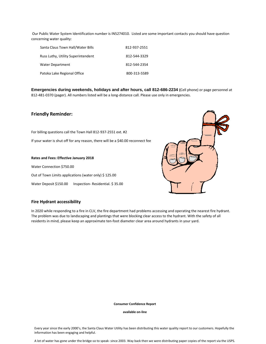Our Public Water System Identification number is IN5274010. Listed are some important contacts you should have question concerning water quality:

| Santa Claus Town Hall/Water Bills  | 812-937-2551 |
|------------------------------------|--------------|
| Russ Luthy, Utility Superintendent | 812-544-3329 |
| <b>Water Department</b>            | 812-544-2354 |
| Patoka Lake Regional Office        | 800-313-5589 |

**Emergencies during weekends, holidays and after hours, call 812-686-2234 (**Cell phone) or page personnel at 812-481-0370 (pager). All numbers listed will be a long-distance call. Please use only in emergencies.

## **Friendly Reminder:**

For billing questions call the Town Hall 812-937-2551 ext. #2 If your water is shut off for any reason, there will be a \$40.00 reconnect fee

### **Rates and Fees: Effective January 2018**

Water Connection \$750.00

Out of Town Limits applications (water only) \$ 125.00

Water Deposit \$150.00 Inspection- Residential. \$ 35.00



## **Fire Hydrant accessibility**

In 2020 while responding to a fire in CLV, the fire department had problems accessing and operating the nearest fire hydrant. The problem was due to landscaping and plantings that were blocking clear access to the hydrant. With the safety of all residents in mind, please keep an approximate ten-foot diameter clear area around hydrants in your yard.

### **Consumer Confidence Report**

**available on-line**

Every year since the early 2000's, the Santa Claus Water Utility has been distributing this water quality report to our customers. Hopefully the information has been engaging and helpful.

A lot of water has gone under the bridge-so to speak- since 2003. Way back then we were distributing paper copies of the report via the USPS.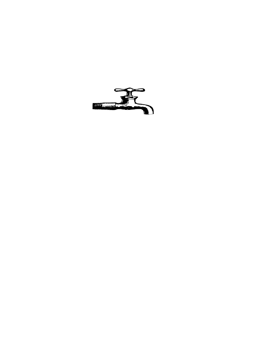